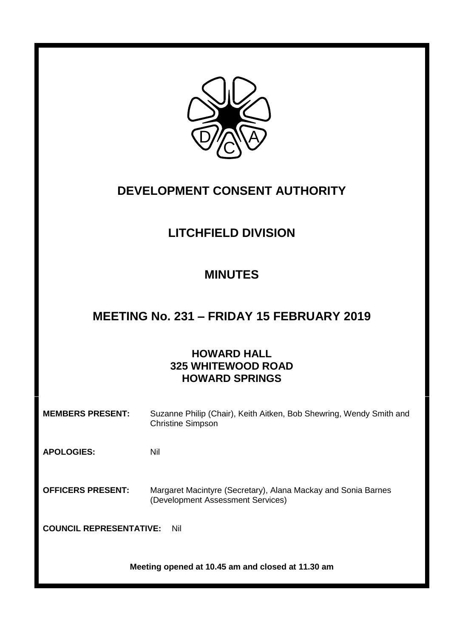

# **DEVELOPMENT CONSENT AUTHORITY**

# **LITCHFIELD DIVISION**

### **MINUTES**

### **MEETING No. 231 – FRIDAY 15 FEBRUARY 2019**

### **HOWARD HALL 325 WHITEWOOD ROAD HOWARD SPRINGS**

| <b>MEMBERS PRESENT:</b>               | Suzanne Philip (Chair), Keith Aitken, Bob Shewring, Wendy Smith and<br><b>Christine Simpson</b>    |
|---------------------------------------|----------------------------------------------------------------------------------------------------|
| <b>APOLOGIES:</b>                     | Nil                                                                                                |
| <b>OFFICERS PRESENT:</b>              | Margaret Macintyre (Secretary), Alana Mackay and Sonia Barnes<br>(Development Assessment Services) |
| <b>COUNCIL REPRESENTATIVE:</b><br>Nil |                                                                                                    |
|                                       |                                                                                                    |

**Meeting opened at 10.45 am and closed at 11.30 am**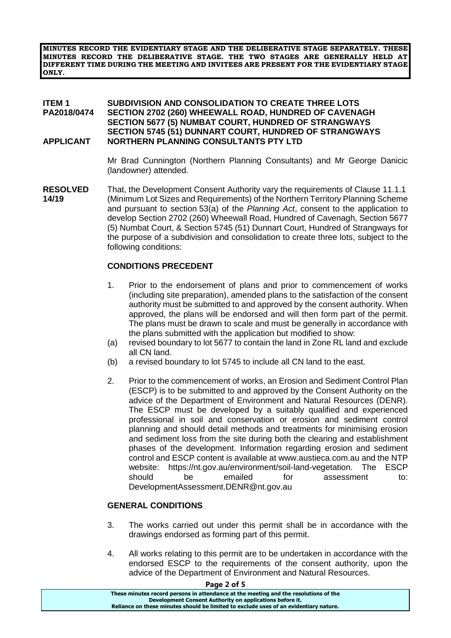**MINUTES RECORD THE EVIDENTIARY STAGE AND THE DELIBERATIVE STAGE SEPARATELY. THESE MINUTES RECORD THE DELIBERATIVE STAGE. THE TWO STAGES ARE GENERALLY HELD AT DIFFERENT TIME DURING THE MEETING AND INVITEES ARE PRESENT FOR THE EVIDENTIARY STAGE ONLY.**

#### **ITEM 1 SUBDIVISION AND CONSOLIDATION TO CREATE THREE LOTS SECTION 2702 (260) WHEEWALL ROAD, HUNDRED OF CAVENAGH SECTION 5677 (5) NUMBAT COURT, HUNDRED OF STRANGWAYS SECTION 5745 (51) DUNNART COURT, HUNDRED OF STRANGWAYS APPLICANT NORTHERN PLANNING CONSULTANTS PTY LTD**

Mr Brad Cunnington (Northern Planning Consultants) and Mr George Danicic (landowner) attended.

**RESOLVED** That, the Development Consent Authority vary the requirements of Clause 11.1.1 **14/19** (Minimum Lot Sizes and Requirements) of the Northern Territory Planning Scheme and pursuant to section 53(a) of the *Planning Act*, consent to the application to develop Section 2702 (260) Wheewall Road, Hundred of Cavenagh, Section 5677 (5) Numbat Court, & Section 5745 (51) Dunnart Court, Hundred of Strangways for the purpose of a subdivision and consolidation to create three lots, subject to the following conditions:

#### **CONDITIONS PRECEDENT**

- 1. Prior to the endorsement of plans and prior to commencement of works (including site preparation), amended plans to the satisfaction of the consent authority must be submitted to and approved by the consent authority. When approved, the plans will be endorsed and will then form part of the permit. The plans must be drawn to scale and must be generally in accordance with the plans submitted with the application but modified to show:
- (a) revised boundary to lot 5677 to contain the land in Zone RL land and exclude all CN land.
- (b) a revised boundary to lot 5745 to include all CN land to the east.
- 2. Prior to the commencement of works, an Erosion and Sediment Control Plan (ESCP) is to be submitted to and approved by the Consent Authority on the advice of the Department of Environment and Natural Resources (DENR). The ESCP must be developed by a suitably qualified and experienced professional in soil and conservation or erosion and sediment control planning and should detail methods and treatments for minimising erosion and sediment loss from the site during both the clearing and establishment phases of the development. Information regarding erosion and sediment control and ESCP content is available at www.austieca.com.au and the NTP website: https://nt.gov.au/environment/soil-land-vegetation. The ESCP should be emailed for assessment to: DevelopmentAssessment.DENR@nt.gov.au

#### **GENERAL CONDITIONS**

- 3. The works carried out under this permit shall be in accordance with the drawings endorsed as forming part of this permit.
- 4. All works relating to this permit are to be undertaken in accordance with the endorsed ESCP to the requirements of the consent authority, upon the advice of the Department of Environment and Natural Resources.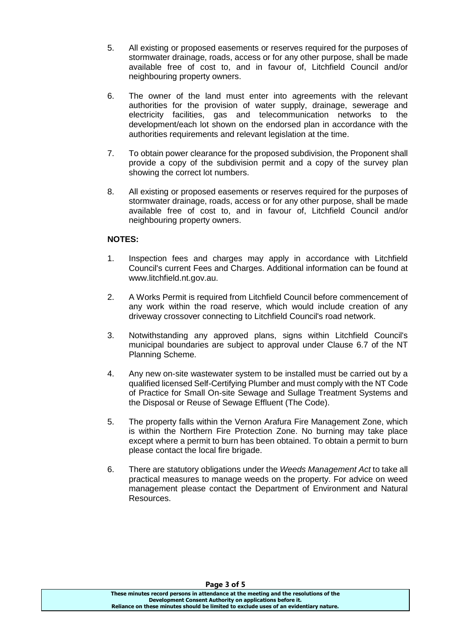- 5. All existing or proposed easements or reserves required for the purposes of stormwater drainage, roads, access or for any other purpose, shall be made available free of cost to, and in favour of, Litchfield Council and/or neighbouring property owners.
- 6. The owner of the land must enter into agreements with the relevant authorities for the provision of water supply, drainage, sewerage and electricity facilities, gas and telecommunication networks to the development/each lot shown on the endorsed plan in accordance with the authorities requirements and relevant legislation at the time.
- 7. To obtain power clearance for the proposed subdivision, the Proponent shall provide a copy of the subdivision permit and a copy of the survey plan showing the correct lot numbers.
- 8. All existing or proposed easements or reserves required for the purposes of stormwater drainage, roads, access or for any other purpose, shall be made available free of cost to, and in favour of, Litchfield Council and/or neighbouring property owners.

### **NOTES:**

- 1. Inspection fees and charges may apply in accordance with Litchfield Council's current Fees and Charges. Additional information can be found at www.litchfield.nt.gov.au.
- 2. A Works Permit is required from Litchfield Council before commencement of any work within the road reserve, which would include creation of any driveway crossover connecting to Litchfield Council's road network.
- 3. Notwithstanding any approved plans, signs within Litchfield Council's municipal boundaries are subject to approval under Clause 6.7 of the NT Planning Scheme.
- 4. Any new on-site wastewater system to be installed must be carried out by a qualified licensed Self-Certifying Plumber and must comply with the NT Code of Practice for Small On-site Sewage and Sullage Treatment Systems and the Disposal or Reuse of Sewage Effluent (The Code).
- 5. The property falls within the Vernon Arafura Fire Management Zone, which is within the Northern Fire Protection Zone. No burning may take place except where a permit to burn has been obtained. To obtain a permit to burn please contact the local fire brigade.
- 6. There are statutory obligations under the *Weeds Management Act* to take all practical measures to manage weeds on the property. For advice on weed management please contact the Department of Environment and Natural Resources.

#### **Page 3 of 5**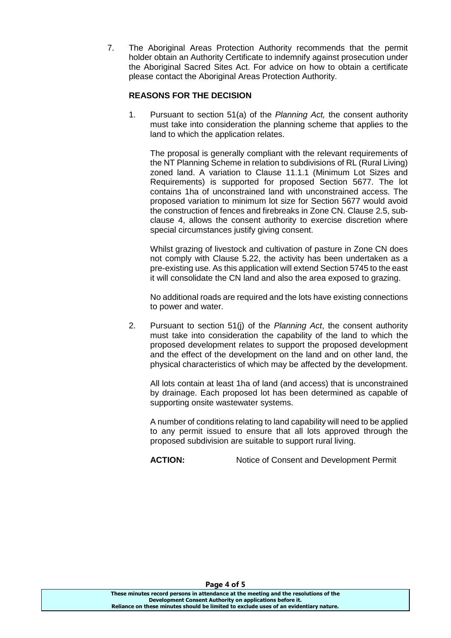7. The Aboriginal Areas Protection Authority recommends that the permit holder obtain an Authority Certificate to indemnify against prosecution under the Aboriginal Sacred Sites Act. For advice on how to obtain a certificate please contact the Aboriginal Areas Protection Authority.

### **REASONS FOR THE DECISION**

1. Pursuant to section 51(a) of the *Planning Act,* the consent authority must take into consideration the planning scheme that applies to the land to which the application relates.

The proposal is generally compliant with the relevant requirements of the NT Planning Scheme in relation to subdivisions of RL (Rural Living) zoned land. A variation to Clause 11.1.1 (Minimum Lot Sizes and Requirements) is supported for proposed Section 5677. The lot contains 1ha of unconstrained land with unconstrained access. The proposed variation to minimum lot size for Section 5677 would avoid the construction of fences and firebreaks in Zone CN. Clause 2.5, subclause 4, allows the consent authority to exercise discretion where special circumstances justify giving consent.

Whilst grazing of livestock and cultivation of pasture in Zone CN does not comply with Clause 5.22, the activity has been undertaken as a pre-existing use. As this application will extend Section 5745 to the east it will consolidate the CN land and also the area exposed to grazing.

No additional roads are required and the lots have existing connections to power and water.

2. Pursuant to section 51(j) of the *Planning Act*, the consent authority must take into consideration the capability of the land to which the proposed development relates to support the proposed development and the effect of the development on the land and on other land, the physical characteristics of which may be affected by the development.

All lots contain at least 1ha of land (and access) that is unconstrained by drainage. Each proposed lot has been determined as capable of supporting onsite wastewater systems.

A number of conditions relating to land capability will need to be applied to any permit issued to ensure that all lots approved through the proposed subdivision are suitable to support rural living.

**ACTION:** Notice of Consent and Development Permit